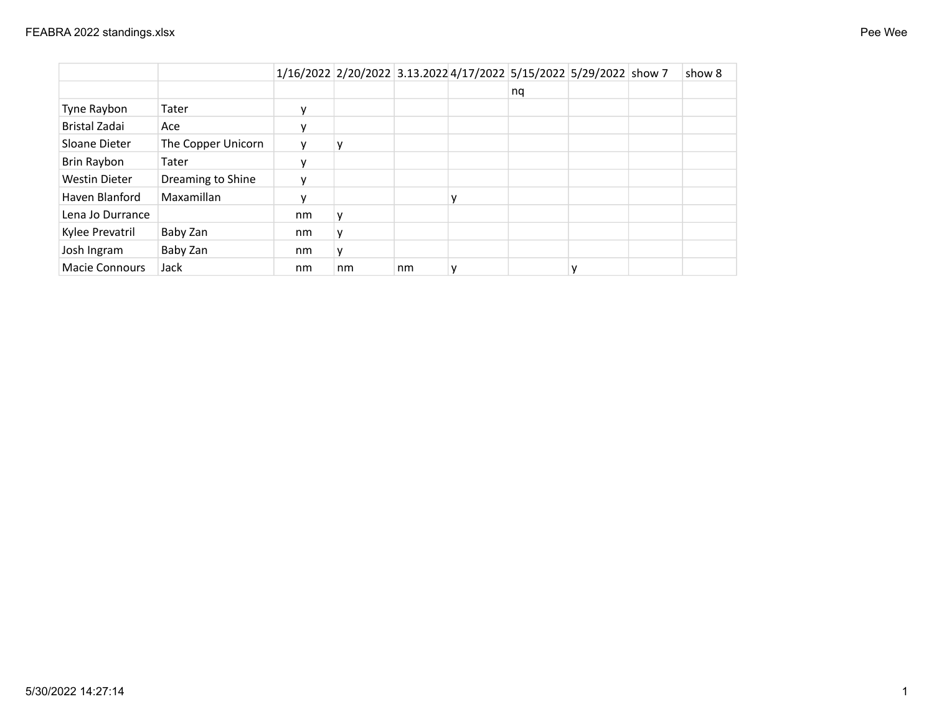| Pee Wee |  |
|---------|--|
|---------|--|

|                       |                    |    | 1/16/2022 2/20/2022 3.13.2022 4/17/2022 5/15/2022 5/29/2022 show 7 |    |    |  | show 8 |
|-----------------------|--------------------|----|--------------------------------------------------------------------|----|----|--|--------|
|                       |                    |    |                                                                    |    | nq |  |        |
| Tyne Raybon           | Tater              | ν  |                                                                    |    |    |  |        |
| Bristal Zadai         | Ace                |    |                                                                    |    |    |  |        |
| Sloane Dieter         | The Copper Unicorn |    |                                                                    |    |    |  |        |
| Brin Raybon           | Tater              |    |                                                                    |    |    |  |        |
| <b>Westin Dieter</b>  | Dreaming to Shine  |    |                                                                    |    |    |  |        |
| Haven Blanford        | Maxamillan         |    |                                                                    |    |    |  |        |
| Lena Jo Durrance      |                    | nm |                                                                    |    |    |  |        |
| Kylee Prevatril       | Baby Zan           | nm |                                                                    |    |    |  |        |
| Josh Ingram           | Baby Zan           | nm |                                                                    |    |    |  |        |
| <b>Macie Connours</b> | Jack               | nm | nm                                                                 | nm |    |  |        |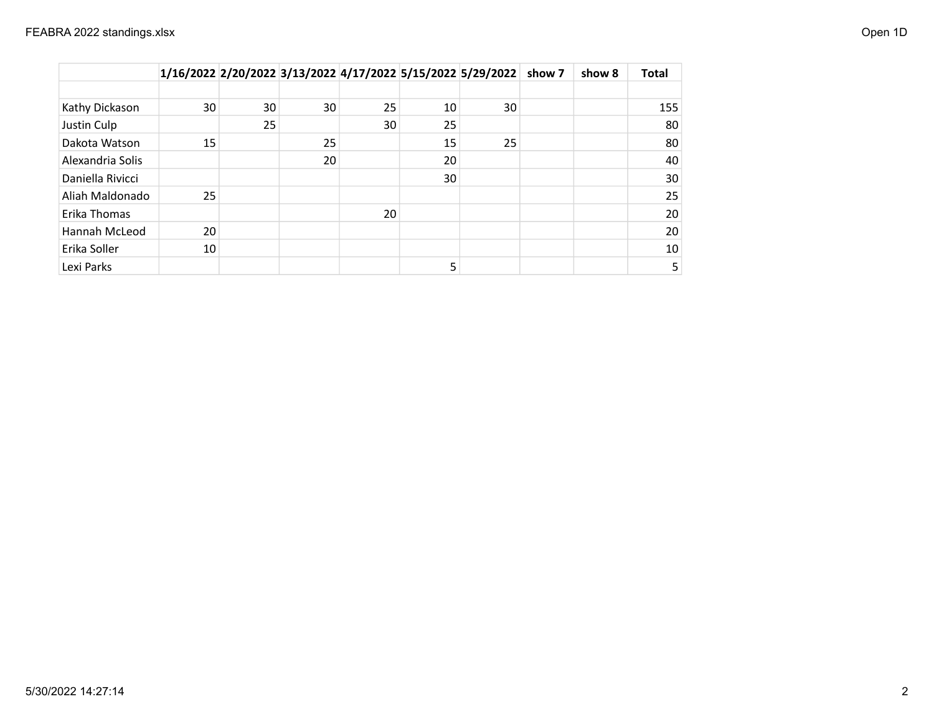|                  |    |    |    |    |    | 1/16/2022 2/20/2022 3/13/2022 4/17/2022 5/15/2022 5/29/2022 | show 7 | show 8 | <b>Total</b> |
|------------------|----|----|----|----|----|-------------------------------------------------------------|--------|--------|--------------|
|                  |    |    |    |    |    |                                                             |        |        |              |
| Kathy Dickason   | 30 | 30 | 30 | 25 | 10 | 30                                                          |        |        | 155          |
| Justin Culp      |    | 25 |    | 30 | 25 |                                                             |        |        | 80           |
| Dakota Watson    | 15 |    | 25 |    | 15 | 25                                                          |        |        | 80           |
| Alexandria Solis |    |    | 20 |    | 20 |                                                             |        |        | 40           |
| Daniella Rivicci |    |    |    |    | 30 |                                                             |        |        | 30           |
| Aliah Maldonado  | 25 |    |    |    |    |                                                             |        |        | 25           |
| Erika Thomas     |    |    |    | 20 |    |                                                             |        |        | 20           |
| Hannah McLeod    | 20 |    |    |    |    |                                                             |        |        | 20           |
| Erika Soller     | 10 |    |    |    |    |                                                             |        |        | 10           |
| Lexi Parks       |    |    |    |    | 5  |                                                             |        |        | 5            |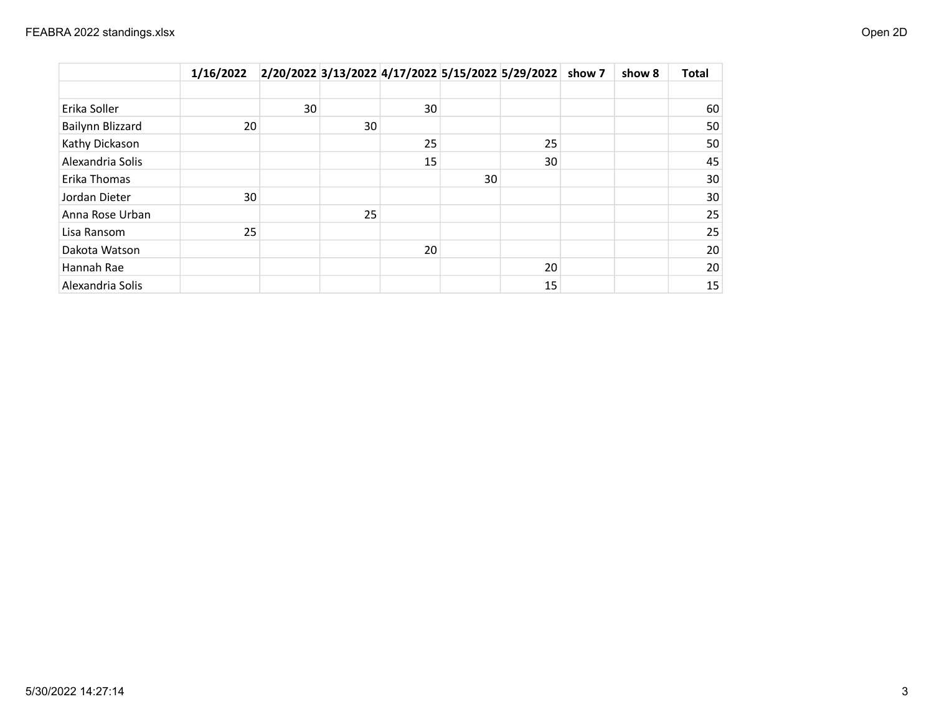|                  | 1/16/2022 |    |    |    |    | 2/20/2022 3/13/2022 4/17/2022 5/15/2022 5/29/2022 show 7 | show 8 | <b>Total</b> |
|------------------|-----------|----|----|----|----|----------------------------------------------------------|--------|--------------|
|                  |           |    |    |    |    |                                                          |        |              |
| Erika Soller     |           | 30 |    | 30 |    |                                                          |        | 60           |
| Bailynn Blizzard | 20        |    | 30 |    |    |                                                          |        | 50           |
| Kathy Dickason   |           |    |    | 25 |    | 25                                                       |        | 50           |
| Alexandria Solis |           |    |    | 15 |    | 30                                                       |        | 45           |
| Erika Thomas     |           |    |    |    | 30 |                                                          |        | 30           |
| Jordan Dieter    | 30        |    |    |    |    |                                                          |        | 30           |
| Anna Rose Urban  |           |    | 25 |    |    |                                                          |        | 25           |
| Lisa Ransom      | 25        |    |    |    |    |                                                          |        | 25           |
| Dakota Watson    |           |    |    | 20 |    |                                                          |        | 20           |
| Hannah Rae       |           |    |    |    |    | 20                                                       |        | 20           |
| Alexandria Solis |           |    |    |    |    | 15                                                       |        | 15           |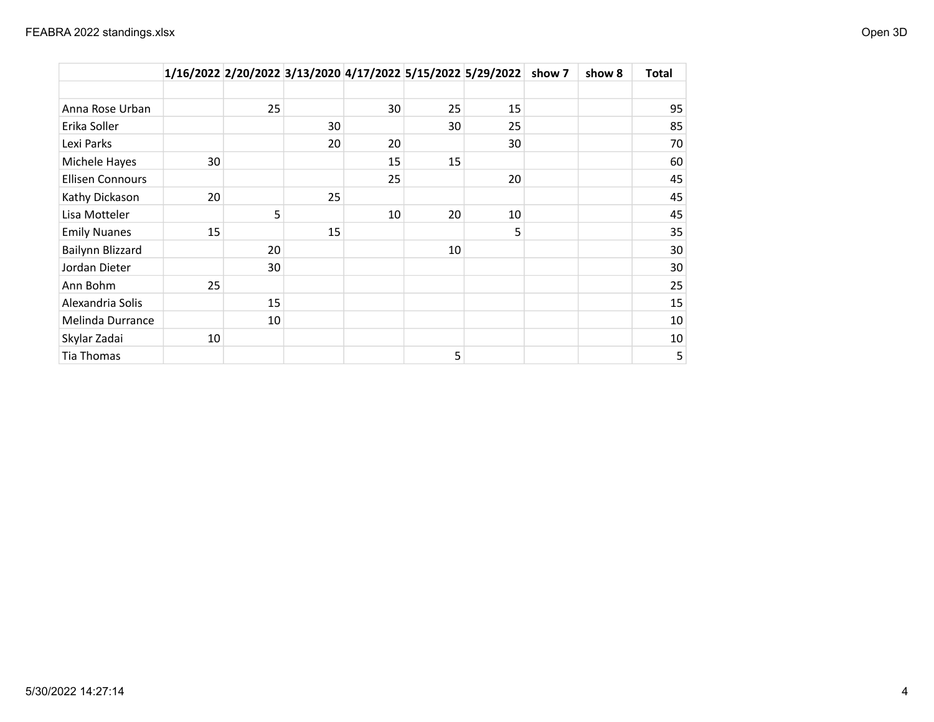|                         |    |    |    |    |    | 1/16/2022 2/20/2022 3/13/2020 4/17/2022 5/15/2022 5/29/2022 | show 7 | show 8 | Total |
|-------------------------|----|----|----|----|----|-------------------------------------------------------------|--------|--------|-------|
|                         |    |    |    |    |    |                                                             |        |        |       |
| Anna Rose Urban         |    | 25 |    | 30 | 25 | 15                                                          |        |        | 95    |
| Erika Soller            |    |    | 30 |    | 30 | 25                                                          |        |        | 85    |
| Lexi Parks              |    |    | 20 | 20 |    | 30                                                          |        |        | 70    |
| Michele Hayes           | 30 |    |    | 15 | 15 |                                                             |        |        | 60    |
| <b>Ellisen Connours</b> |    |    |    | 25 |    | 20                                                          |        |        | 45    |
| Kathy Dickason          | 20 |    | 25 |    |    |                                                             |        |        | 45    |
| Lisa Motteler           |    | 5  |    | 10 | 20 | 10                                                          |        |        | 45    |
| <b>Emily Nuanes</b>     | 15 |    | 15 |    |    | 5                                                           |        |        | 35    |
| Bailynn Blizzard        |    | 20 |    |    | 10 |                                                             |        |        | 30    |
| Jordan Dieter           |    | 30 |    |    |    |                                                             |        |        | 30    |
| Ann Bohm                | 25 |    |    |    |    |                                                             |        |        | 25    |
| Alexandria Solis        |    | 15 |    |    |    |                                                             |        |        | 15    |
| Melinda Durrance        |    | 10 |    |    |    |                                                             |        |        | 10    |
| Skylar Zadai            | 10 |    |    |    |    |                                                             |        |        | 10    |
| Tia Thomas              |    |    |    |    | 5  |                                                             |        |        | 5     |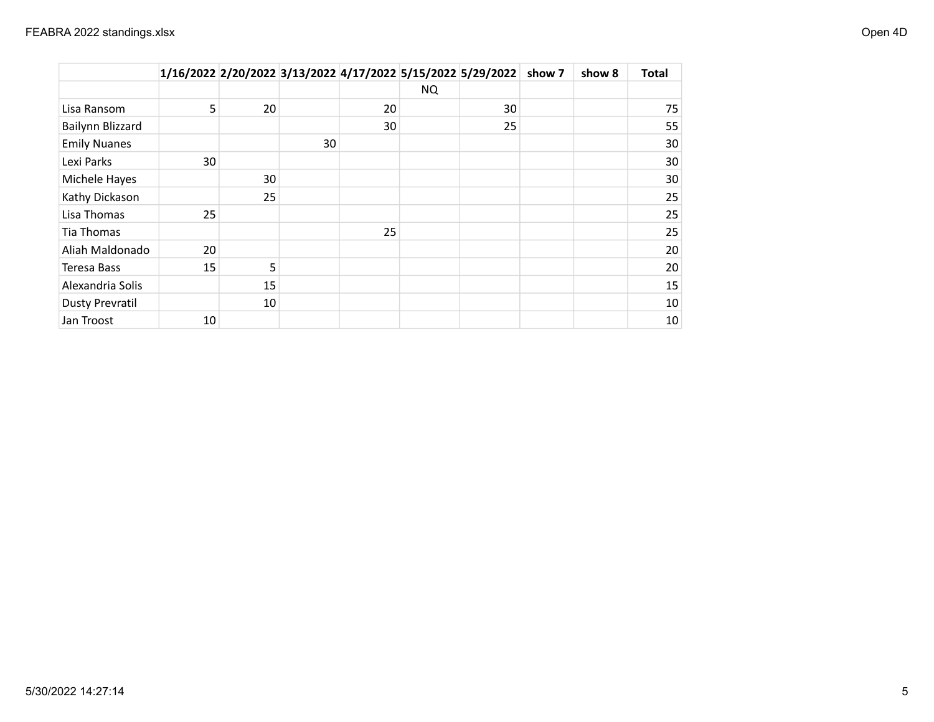|                        |    |    |    |    |           | 1/16/2022 2/20/2022 3/13/2022 4/17/2022 5/15/2022 5/29/2022 | show 7 | show 8 | <b>Total</b> |
|------------------------|----|----|----|----|-----------|-------------------------------------------------------------|--------|--------|--------------|
|                        |    |    |    |    | <b>NQ</b> |                                                             |        |        |              |
| Lisa Ransom            | 5  | 20 |    | 20 |           | 30                                                          |        |        | 75           |
| Bailynn Blizzard       |    |    |    | 30 |           | 25                                                          |        |        | 55           |
| <b>Emily Nuanes</b>    |    |    | 30 |    |           |                                                             |        |        | 30           |
| Lexi Parks             | 30 |    |    |    |           |                                                             |        |        | 30           |
| Michele Hayes          |    | 30 |    |    |           |                                                             |        |        | 30           |
| Kathy Dickason         |    | 25 |    |    |           |                                                             |        |        | 25           |
| Lisa Thomas            | 25 |    |    |    |           |                                                             |        |        | 25           |
| Tia Thomas             |    |    |    | 25 |           |                                                             |        |        | 25           |
| Aliah Maldonado        | 20 |    |    |    |           |                                                             |        |        | 20           |
| Teresa Bass            | 15 | 5  |    |    |           |                                                             |        |        | 20           |
| Alexandria Solis       |    | 15 |    |    |           |                                                             |        |        | 15           |
| <b>Dusty Prevratil</b> |    | 10 |    |    |           |                                                             |        |        | 10           |
| Jan Troost             | 10 |    |    |    |           |                                                             |        |        | 10           |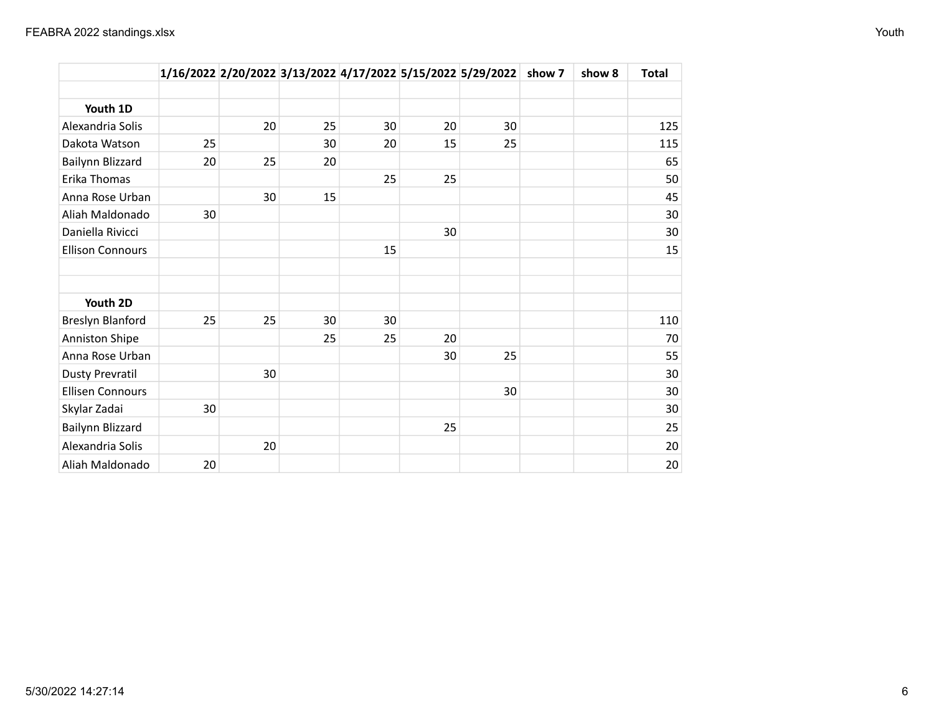|                         |    |    |    |    |    | 1/16/2022 2/20/2022 3/13/2022 4/17/2022 5/15/2022 5/29/2022 show 7 | show 8 | <b>Total</b> |
|-------------------------|----|----|----|----|----|--------------------------------------------------------------------|--------|--------------|
|                         |    |    |    |    |    |                                                                    |        |              |
| Youth 1D                |    |    |    |    |    |                                                                    |        |              |
| Alexandria Solis        |    | 20 | 25 | 30 | 20 | 30                                                                 |        | 125          |
| Dakota Watson           | 25 |    | 30 | 20 | 15 | 25                                                                 |        | 115          |
| Bailynn Blizzard        | 20 | 25 | 20 |    |    |                                                                    |        | 65           |
| Erika Thomas            |    |    |    | 25 | 25 |                                                                    |        | 50           |
| Anna Rose Urban         |    | 30 | 15 |    |    |                                                                    |        | 45           |
| Aliah Maldonado         | 30 |    |    |    |    |                                                                    |        | 30           |
| Daniella Rivicci        |    |    |    |    | 30 |                                                                    |        | 30           |
| <b>Ellison Connours</b> |    |    |    | 15 |    |                                                                    |        | 15           |
|                         |    |    |    |    |    |                                                                    |        |              |
|                         |    |    |    |    |    |                                                                    |        |              |
| Youth 2D                |    |    |    |    |    |                                                                    |        |              |
| Breslyn Blanford        | 25 | 25 | 30 | 30 |    |                                                                    |        | 110          |
| <b>Anniston Shipe</b>   |    |    | 25 | 25 | 20 |                                                                    |        | 70           |
| Anna Rose Urban         |    |    |    |    | 30 | 25                                                                 |        | 55           |
| <b>Dusty Prevratil</b>  |    | 30 |    |    |    |                                                                    |        | 30           |
| <b>Ellisen Connours</b> |    |    |    |    |    | 30                                                                 |        | 30           |
| Skylar Zadai            | 30 |    |    |    |    |                                                                    |        | 30           |
| Bailynn Blizzard        |    |    |    |    | 25 |                                                                    |        | 25           |
| Alexandria Solis        |    | 20 |    |    |    |                                                                    |        | 20           |
| Aliah Maldonado         | 20 |    |    |    |    |                                                                    |        | 20           |